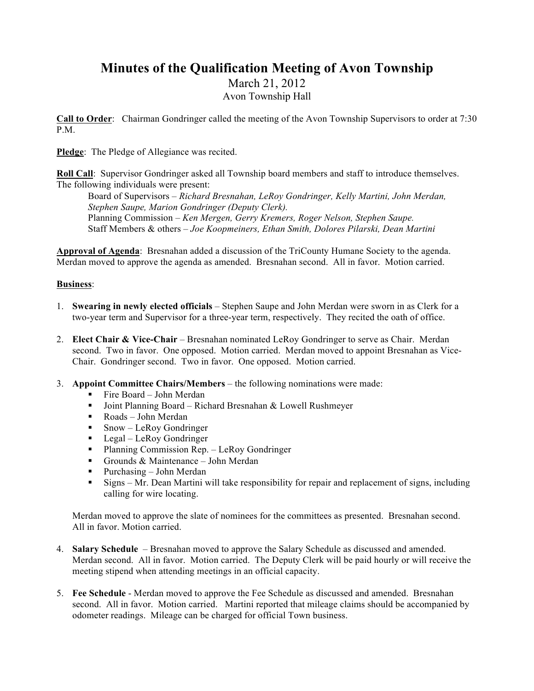## **Minutes of the Qualification Meeting of Avon Township**

March 21, 2012

Avon Township Hall

**Call to Order**: Chairman Gondringer called the meeting of the Avon Township Supervisors to order at 7:30 P.M.

**Pledge**: The Pledge of Allegiance was recited.

**Roll Call**: Supervisor Gondringer asked all Township board members and staff to introduce themselves. The following individuals were present:

Board of Supervisors *– Richard Bresnahan, LeRoy Gondringer, Kelly Martini, John Merdan, Stephen Saupe, Marion Gondringer (Deputy Clerk).*  Planning Commission *– Ken Mergen, Gerry Kremers, Roger Nelson, Stephen Saupe.*  Staff Members & others *– Joe Koopmeiners, Ethan Smith, Dolores Pilarski, Dean Martini*

**Approval of Agenda**: Bresnahan added a discussion of the TriCounty Humane Society to the agenda. Merdan moved to approve the agenda as amended. Bresnahan second. All in favor. Motion carried.

## **Business**:

- 1. **Swearing in newly elected officials** Stephen Saupe and John Merdan were sworn in as Clerk for a two-year term and Supervisor for a three-year term, respectively. They recited the oath of office.
- 2. **Elect Chair & Vice-Chair** Bresnahan nominated LeRoy Gondringer to serve as Chair. Merdan second. Two in favor. One opposed. Motion carried. Merdan moved to appoint Bresnahan as Vice-Chair. Gondringer second. Two in favor. One opposed. Motion carried.
- 3. **Appoint Committee Chairs/Members** the following nominations were made:
	- Fire Board John Merdan
	- Joint Planning Board Richard Bresnahan & Lowell Rushmeyer
	- Roads John Merdan
	- $Snow LeRoy Gondringer$
	- **Legal LeRoy Gondringer**
	- **Planning Commission Rep.** LeRoy Gondringer
	- Grounds & Maintenance John Merdan
	- Purchasing John Merdan
	- Signs Mr. Dean Martini will take responsibility for repair and replacement of signs, including calling for wire locating.

Merdan moved to approve the slate of nominees for the committees as presented. Bresnahan second. All in favor. Motion carried.

- 4. **Salary Schedule** Bresnahan moved to approve the Salary Schedule as discussed and amended. Merdan second. All in favor. Motion carried. The Deputy Clerk will be paid hourly or will receive the meeting stipend when attending meetings in an official capacity.
- 5. **Fee Schedule** Merdan moved to approve the Fee Schedule as discussed and amended. Bresnahan second. All in favor. Motion carried. Martini reported that mileage claims should be accompanied by odometer readings. Mileage can be charged for official Town business.